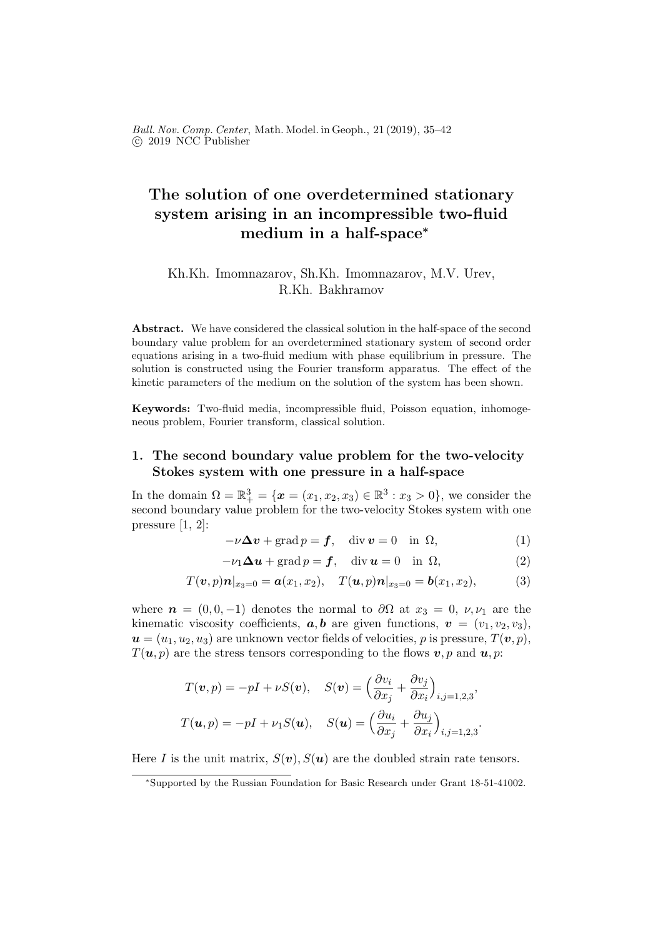Bull. Nov. Comp. Center, Math. Model. in Geoph., 21 (2019), 35–42 c 2019 NCC Publisher

# The solution of one overdetermined stationary system arising in an incompressible two-fluid medium in a half-space<sup>∗</sup>

## Kh.Kh. Imomnazarov, Sh.Kh. Imomnazarov, M.V. Urev, R.Kh. Bakhramov

Abstract. We have considered the classical solution in the half-space of the second boundary value problem for an overdetermined stationary system of second order equations arising in a two-fluid medium with phase equilibrium in pressure. The solution is constructed using the Fourier transform apparatus. The effect of the kinetic parameters of the medium on the solution of the system has been shown.

Keywords: Two-fluid media, incompressible fluid, Poisson equation, inhomogeneous problem, Fourier transform, classical solution.

## 1. The second boundary value problem for the two-velocity Stokes system with one pressure in a half-space

In the domain  $\Omega = \mathbb{R}^3_+ = \{ \mathbf{x} = (x_1, x_2, x_3) \in \mathbb{R}^3 : x_3 > 0 \},\$  we consider the second boundary value problem for the two-velocity Stokes system with one pressure [1, 2]:

$$
-\nu \Delta v + \operatorname{grad} p = f, \quad \operatorname{div} v = 0 \quad \text{in } \Omega,
$$
 (1)

$$
-\nu_1 \Delta u + \text{grad } p = f, \quad \text{div } u = 0 \quad \text{in } \Omega,
$$
 (2)

$$
T(\boldsymbol{v},p)\boldsymbol{n}|_{x_3=0} = \boldsymbol{a}(x_1,x_2), \quad T(\boldsymbol{u},p)\boldsymbol{n}|_{x_3=0} = \boldsymbol{b}(x_1,x_2), \quad (3)
$$

where  $n = (0, 0, -1)$  denotes the normal to  $\partial\Omega$  at  $x_3 = 0, \nu, \nu_1$  are the kinematic viscosity coefficients,  $a, b$  are given functions,  $v = (v_1, v_2, v_3)$ ,  $u = (u_1, u_2, u_3)$  are unknown vector fields of velocities, p is pressure,  $T(v, p)$ ,  $T(\mathbf{u}, p)$  are the stress tensors corresponding to the flows  $\mathbf{v}, p$  and  $\mathbf{u}, p$ :

$$
T(\mathbf{v}, p) = -pI + \nu S(\mathbf{v}), \quad S(\mathbf{v}) = \left(\frac{\partial v_i}{\partial x_j} + \frac{\partial v_j}{\partial x_i}\right)_{i,j=1,2,3},
$$

$$
T(\mathbf{u}, p) = -pI + \nu_1 S(\mathbf{u}), \quad S(\mathbf{u}) = \left(\frac{\partial u_i}{\partial x_j} + \frac{\partial u_j}{\partial x_i}\right)_{i,j=1,2,3}.
$$

Here I is the unit matrix,  $S(v)$ ,  $S(u)$  are the doubled strain rate tensors.

<sup>∗</sup>Supported by the Russian Foundation for Basic Research under Grant 18-51-41002.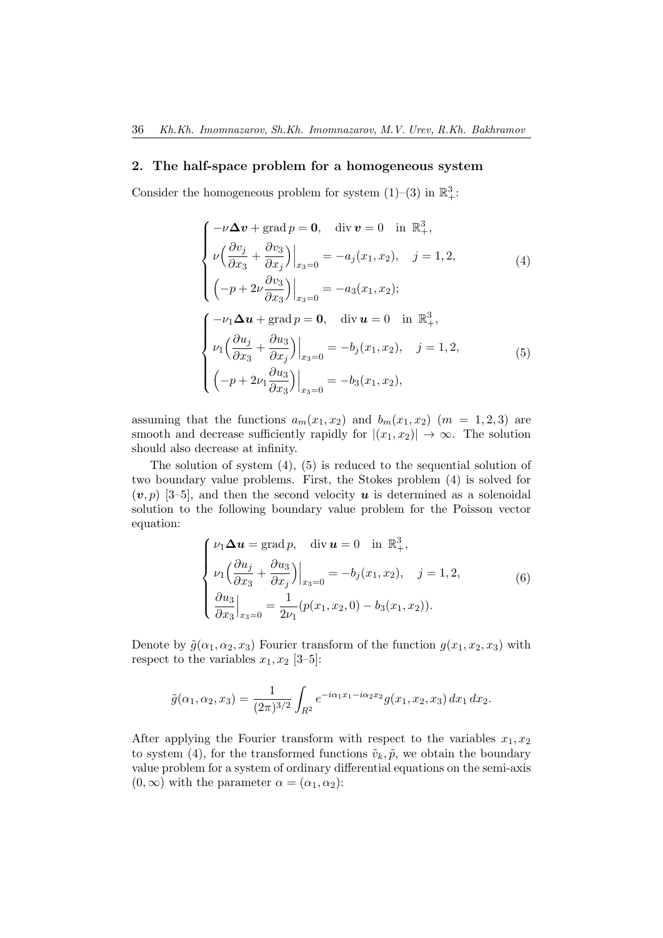### 2. The half-space problem for a homogeneous system

Consider the homogeneous problem for system  $(1)$ – $(3)$  in  $\mathbb{R}^3_+$ :

$$
\begin{cases}\n-\nu \Delta v + \text{grad } p = 0, & \text{div } v = 0 \text{ in } \mathbb{R}^3_+, \\
\nu \left( \frac{\partial v_j}{\partial x_3} + \frac{\partial v_3}{\partial x_j} \right)\Big|_{x_3=0} = -a_j(x_1, x_2), & j = 1, 2, \\
\left( -p + 2\nu \frac{\partial v_3}{\partial x_3} \right)\Big|_{x_3=0} = -a_3(x_1, x_2); \\
\left( -\nu_1 \Delta u + \text{grad } p = 0, & \text{div } u = 0 \text{ in } \mathbb{R}^3_+, \\
\nu_1 \left( \frac{\partial u_j}{\partial x_3} + \frac{\partial u_3}{\partial x_j} \right)\Big|_{x_3=0} = -b_j(x_1, x_2), & j = 1, 2, \\
\left( -p + 2\nu_1 \frac{\partial u_3}{\partial x_3} \right)\Big|_{x_3=0} = -b_3(x_1, x_2),\n\end{cases} (5)
$$

assuming that the functions  $a_m(x_1, x_2)$  and  $b_m(x_1, x_2)$   $(m = 1, 2, 3)$  are smooth and decrease sufficiently rapidly for  $|(x_1, x_2)| \to \infty$ . The solution should also decrease at infinity.

The solution of system  $(4)$ ,  $(5)$  is reduced to the sequential solution of two boundary value problems. First, the Stokes problem (4) is solved for  $(v, p)$  [3–5], and then the second velocity **u** is determined as a solenoidal solution to the following boundary value problem for the Poisson vector equation:

$$
\begin{cases}\n\nu_1 \Delta u = \text{grad } p, & \text{div } u = 0 \quad \text{in } \mathbb{R}^3_+, \\
\nu_1 \left( \frac{\partial u_j}{\partial x_3} + \frac{\partial u_3}{\partial x_j} \right)\Big|_{x_3=0} = -b_j(x_1, x_2), & j = 1, 2, \\
\left. \frac{\partial u_3}{\partial x_3}\right|_{x_3=0} = \frac{1}{2\nu_1} (p(x_1, x_2, 0) - b_3(x_1, x_2)).\n\end{cases} \tag{6}
$$

Denote by  $\tilde{g}(\alpha_1, \alpha_2, x_3)$  Fourier transform of the function  $g(x_1, x_2, x_3)$  with respect to the variables  $x_1, x_2$  [3-5]:

$$
\tilde{g}(\alpha_1, \alpha_2, x_3) = \frac{1}{(2\pi)^{3/2}} \int_{R^2} e^{-i\alpha_1 x_1 - i\alpha_2 x_2} g(x_1, x_2, x_3) dx_1 dx_2.
$$

After applying the Fourier transform with respect to the variables  $x_1, x_2$ to system (4), for the transformed functions  $\tilde{v}_k, \tilde{p}$ , we obtain the boundary value problem for a system of ordinary differential equations on the semi-axis  $(0, \infty)$  with the parameter  $\alpha = (\alpha_1, \alpha_2)$ :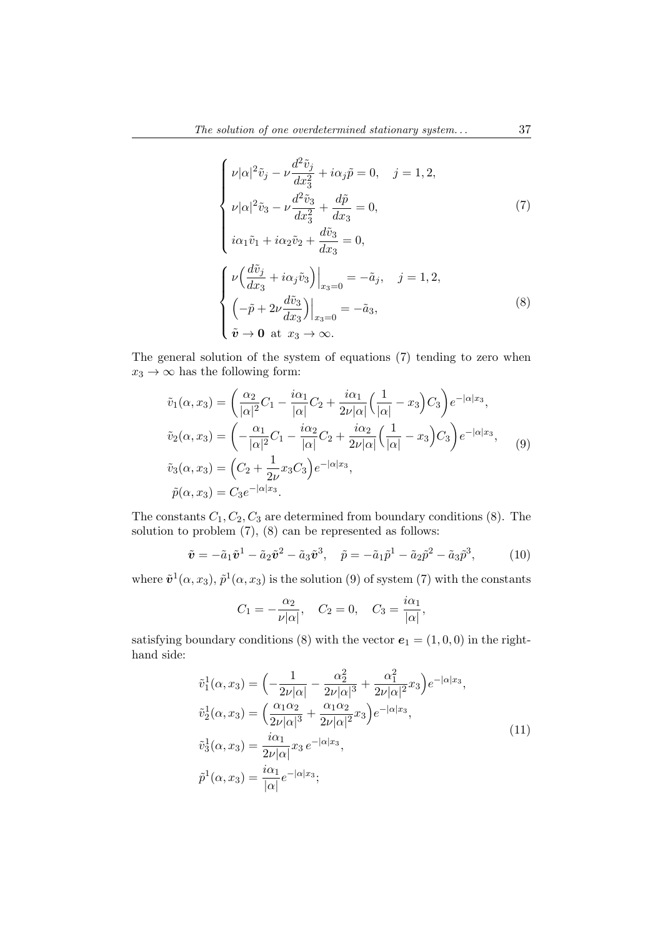$$
\begin{cases}\n\nu|\alpha|^2\tilde{v}_j - \nu \frac{d^2 \tilde{v}_j}{dx_3^2} + i\alpha_j \tilde{p} = 0, \quad j = 1, 2, \\
\nu|\alpha|^2 \tilde{v}_3 - \nu \frac{d^2 \tilde{v}_3}{dx_3^2} + \frac{d\tilde{p}}{dx_3} = 0, \\
i\alpha_1 \tilde{v}_1 + i\alpha_2 \tilde{v}_2 + \frac{d\tilde{v}_3}{dx_3} = 0, \\
\left[\nu \left(\frac{d\tilde{v}_j}{dx_3} + i\alpha_j \tilde{v}_3\right)\right]_{x_3=0} = -\tilde{a}_j, \quad j = 1, 2, \\
\left(-\tilde{p} + 2\nu \frac{d\tilde{v}_3}{dx_3}\right)\right|_{x_3=0} = -\tilde{a}_3, \\
\tilde{v} \to 0 \text{ at } x_3 \to \infty.\n\end{cases} \tag{8}
$$

The general solution of the system of equations (7) tending to zero when  $x_3 \rightarrow \infty$  has the following form:

$$
\tilde{v}_1(\alpha, x_3) = \left(\frac{\alpha_2}{|\alpha|^2}C_1 - \frac{i\alpha_1}{|\alpha|}C_2 + \frac{i\alpha_1}{2\nu|\alpha|}\left(\frac{1}{|\alpha|} - x_3\right)C_3\right)e^{-|\alpha|x_3},
$$
\n
$$
\tilde{v}_2(\alpha, x_3) = \left(-\frac{\alpha_1}{|\alpha|^2}C_1 - \frac{i\alpha_2}{|\alpha|}C_2 + \frac{i\alpha_2}{2\nu|\alpha|}\left(\frac{1}{|\alpha|} - x_3\right)C_3\right)e^{-|\alpha|x_3},
$$
\n
$$
\tilde{v}_3(\alpha, x_3) = \left(C_2 + \frac{1}{2\nu}x_3C_3\right)e^{-|\alpha|x_3},
$$
\n
$$
\tilde{p}(\alpha, x_3) = C_3e^{-|\alpha|x_3}.
$$
\n(9)

The constants  $C_1, C_2, C_3$  are determined from boundary conditions (8). The solution to problem (7), (8) can be represented as follows:

$$
\tilde{\boldsymbol{v}} = -\tilde{a}_1 \tilde{\boldsymbol{v}}^1 - \tilde{a}_2 \tilde{\boldsymbol{v}}^2 - \tilde{a}_3 \tilde{\boldsymbol{v}}^3, \quad \tilde{p} = -\tilde{a}_1 \tilde{p}^1 - \tilde{a}_2 \tilde{p}^2 - \tilde{a}_3 \tilde{p}^3,
$$
(10)

where  $\tilde{\mathbf{v}}^1(\alpha, x_3)$ ,  $\tilde{p}^1(\alpha, x_3)$  is the solution (9) of system (7) with the constants

$$
C_1 = -\frac{\alpha_2}{\nu |\alpha|}, \quad C_2 = 0, \quad C_3 = \frac{i\alpha_1}{|\alpha|},
$$

satisfying boundary conditions (8) with the vector  $e_1 = (1, 0, 0)$  in the righthand side:

$$
\tilde{v}_{1}^{1}(\alpha, x_{3}) = \left(-\frac{1}{2\nu|\alpha|} - \frac{\alpha_{2}^{2}}{2\nu|\alpha|^{3}} + \frac{\alpha_{1}^{2}}{2\nu|\alpha|^{2}}x_{3}\right)e^{-|\alpha|x_{3}},
$$
\n
$$
\tilde{v}_{2}^{1}(\alpha, x_{3}) = \left(\frac{\alpha_{1}\alpha_{2}}{2\nu|\alpha|^{3}} + \frac{\alpha_{1}\alpha_{2}}{2\nu|\alpha|^{2}}x_{3}\right)e^{-|\alpha|x_{3}},
$$
\n
$$
\tilde{v}_{3}^{1}(\alpha, x_{3}) = \frac{i\alpha_{1}}{2\nu|\alpha|}x_{3}e^{-|\alpha|x_{3}},
$$
\n
$$
\tilde{p}^{1}(\alpha, x_{3}) = \frac{i\alpha_{1}}{|\alpha|}e^{-|\alpha|x_{3}};
$$
\n(11)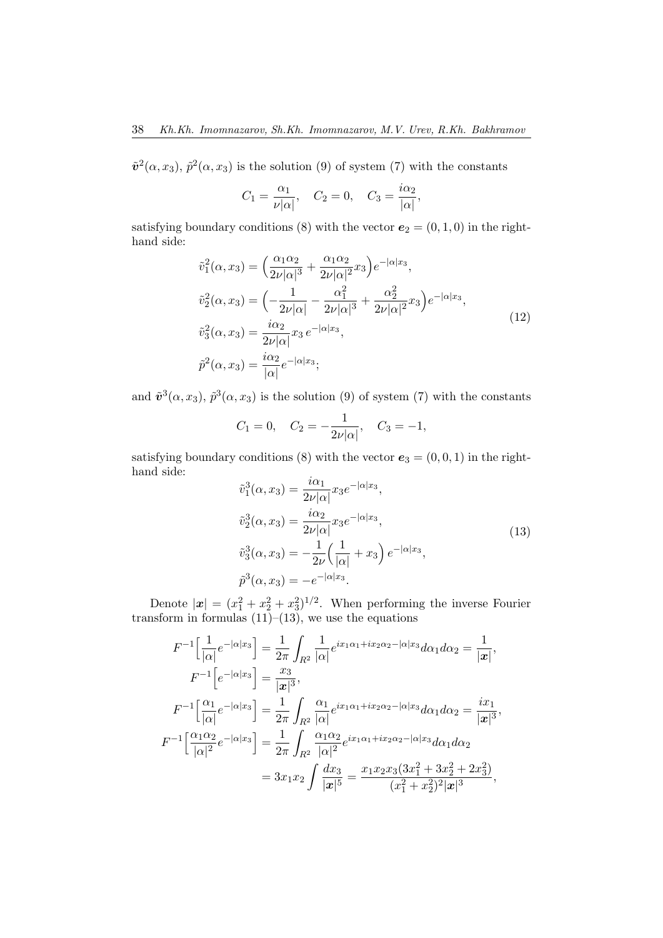$\tilde{\mathbf{v}}^2(\alpha, x_3)$ ,  $\tilde{p}^2(\alpha, x_3)$  is the solution (9) of system (7) with the constants

$$
C_1 = \frac{\alpha_1}{\nu |\alpha|}, \quad C_2 = 0, \quad C_3 = \frac{i\alpha_2}{|\alpha|},
$$

satisfying boundary conditions (8) with the vector  $e_2 = (0, 1, 0)$  in the righthand side:

$$
\tilde{v}_{1}^{2}(\alpha, x_{3}) = \left(\frac{\alpha_{1}\alpha_{2}}{2\nu|\alpha|^{3}} + \frac{\alpha_{1}\alpha_{2}}{2\nu|\alpha|^{2}}x_{3}\right)e^{-|\alpha|x_{3}},
$$
\n
$$
\tilde{v}_{2}^{2}(\alpha, x_{3}) = \left(-\frac{1}{2\nu|\alpha|} - \frac{\alpha_{1}^{2}}{2\nu|\alpha|^{3}} + \frac{\alpha_{2}^{2}}{2\nu|\alpha|^{2}}x_{3}\right)e^{-|\alpha|x_{3}},
$$
\n
$$
\tilde{v}_{3}^{2}(\alpha, x_{3}) = \frac{i\alpha_{2}}{2\nu|\alpha|}x_{3}e^{-|\alpha|x_{3}},
$$
\n
$$
\tilde{p}^{2}(\alpha, x_{3}) = \frac{i\alpha_{2}}{|\alpha|}e^{-|\alpha|x_{3}};
$$
\n(12)

and  $\tilde{\mathbf{v}}^3(\alpha, x_3)$ ,  $\tilde{p}^3(\alpha, x_3)$  is the solution (9) of system (7) with the constants

$$
C_1 = 0
$$
,  $C_2 = -\frac{1}{2\nu|\alpha|}$ ,  $C_3 = -1$ ,

satisfying boundary conditions (8) with the vector  $e_3 = (0, 0, 1)$  in the righthand side:

$$
\tilde{v}_1^3(\alpha, x_3) = \frac{i\alpha_1}{2\nu|\alpha|} x_3 e^{-|\alpha|x_3|},
$$
  
\n
$$
\tilde{v}_2^3(\alpha, x_3) = \frac{i\alpha_2}{2\nu|\alpha|} x_3 e^{-|\alpha|x_3|},
$$
  
\n
$$
\tilde{v}_3^3(\alpha, x_3) = -\frac{1}{2\nu} \left(\frac{1}{|\alpha|} + x_3\right) e^{-|\alpha|x_3|},
$$
  
\n
$$
\tilde{p}^3(\alpha, x_3) = -e^{-|\alpha|x_3|}.
$$
\n(13)

Denote  $|\mathbf{x}| = (x_1^2 + x_2^2 + x_3^2)^{1/2}$ . When performing the inverse Fourier transform in formulas  $(11)$ – $(13)$ , we use the equations

$$
F^{-1}\left[\frac{1}{|\alpha|}e^{-|\alpha|x_3}\right] = \frac{1}{2\pi} \int_{R^2} \frac{1}{|\alpha|} e^{ix_1\alpha_1 + ix_2\alpha_2 - |\alpha|x_3|} d\alpha_1 d\alpha_2 = \frac{1}{|\mathbf{x}|},
$$
  
\n
$$
F^{-1}\left[e^{-|\alpha|x_3}\right] = \frac{x_3}{|\mathbf{x}|^3},
$$
  
\n
$$
F^{-1}\left[\frac{\alpha_1}{|\alpha|}e^{-|\alpha|x_3}\right] = \frac{1}{2\pi} \int_{R^2} \frac{\alpha_1}{|\alpha|} e^{ix_1\alpha_1 + ix_2\alpha_2 - |\alpha|x_3|} d\alpha_1 d\alpha_2 = \frac{ix_1}{|\mathbf{x}|^3},
$$
  
\n
$$
F^{-1}\left[\frac{\alpha_1\alpha_2}{|\alpha|^2}e^{-|\alpha|x_3|}\right] = \frac{1}{2\pi} \int_{R^2} \frac{\alpha_1\alpha_2}{|\alpha|^2} e^{ix_1\alpha_1 + ix_2\alpha_2 - |\alpha|x_3|} d\alpha_1 d\alpha_2
$$
  
\n
$$
= 3x_1x_2 \int \frac{dx_3}{|\mathbf{x}|^5} = \frac{x_1x_2x_3(3x_1^2 + 3x_2^2 + 2x_3^2)}{(x_1^2 + x_2^2)^2 |\mathbf{x}|^3},
$$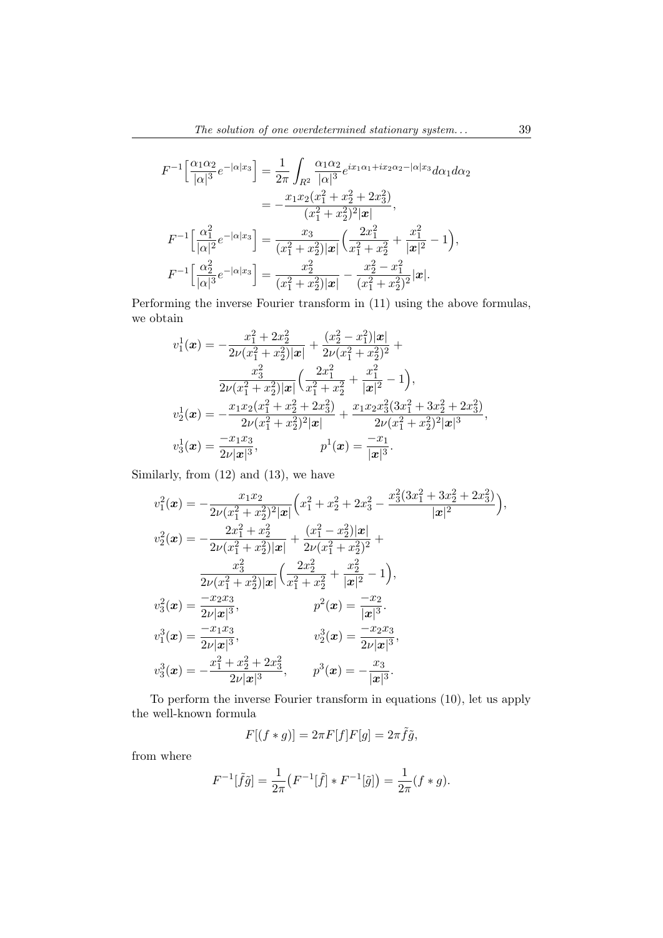$$
F^{-1}\left[\frac{\alpha_1\alpha_2}{|\alpha|^3}e^{-|\alpha|x_3}\right] = \frac{1}{2\pi}\int_{R^2}\frac{\alpha_1\alpha_2}{|\alpha|^3}e^{ix_1\alpha_1+ix_2\alpha_2-|\alpha|x_3|}\,d\alpha_1d\alpha_2
$$
  

$$
= -\frac{x_1x_2(x_1^2+x_2^2+2x_3^2)}{(x_1^2+x_2^2)^2|\mathbf{x}|},
$$
  

$$
F^{-1}\left[\frac{\alpha_1^2}{|\alpha|^2}e^{-|\alpha|x_3|}\right] = \frac{x_3}{(x_1^2+x_2^2)|\mathbf{x}|}\left(\frac{2x_1^2}{x_1^2+x_2^2}+\frac{x_1^2}{|\mathbf{x}|^2}-1\right),
$$
  

$$
F^{-1}\left[\frac{\alpha_2^2}{|\alpha|^3}e^{-|\alpha|x_3|}\right] = \frac{x_2^2}{(x_1^2+x_2^2)|\mathbf{x}|} - \frac{x_2^2-x_1^2}{(x_1^2+x_2^2)^2}|\mathbf{x}|.
$$

Performing the inverse Fourier transform in (11) using the above formulas, we obtain

$$
v_1^1(\boldsymbol{x}) = -\frac{x_1^2 + 2x_2^2}{2\nu(x_1^2 + x_2^2)|\boldsymbol{x}|} + \frac{(x_2^2 - x_1^2)|\boldsymbol{x}|}{2\nu(x_1^2 + x_2^2)^2} + \frac{x_3^2}{2\nu(x_1^2 + x_2^2)|\boldsymbol{x}|} \left(\frac{2x_1^2}{x_1^2 + x_2^2} + \frac{x_1^2}{|\boldsymbol{x}|^2} - 1\right),
$$
  
\n
$$
v_2^1(\boldsymbol{x}) = -\frac{x_1x_2(x_1^2 + x_2^2 + 2x_3^2)}{2\nu(x_1^2 + x_2^2)^2|\boldsymbol{x}|} + \frac{x_1x_2x_3^2(3x_1^2 + 3x_2^2 + 2x_3^2)}{2\nu(x_1^2 + x_2^2)^2|\boldsymbol{x}|^3},
$$
  
\n
$$
v_3^1(\boldsymbol{x}) = \frac{-x_1x_3}{2\nu|\boldsymbol{x}|^3}, \qquad p^1(\boldsymbol{x}) = \frac{-x_1}{|\boldsymbol{x}|^3}.
$$

Similarly, from (12) and (13), we have

$$
v_1^2(\boldsymbol{x}) = -\frac{x_1x_2}{2\nu(x_1^2 + x_2^2)^2 |\boldsymbol{x}|} \left( x_1^2 + x_2^2 + 2x_3^2 - \frac{x_3^2(3x_1^2 + 3x_2^2 + 2x_3^2)}{|\boldsymbol{x}|^2} \right),
$$
  
\n
$$
v_2^2(\boldsymbol{x}) = -\frac{2x_1^2 + x_2^2}{2\nu(x_1^2 + x_2^2) |\boldsymbol{x}|} + \frac{(x_1^2 - x_2^2)|\boldsymbol{x}|}{2\nu(x_1^2 + x_2^2)^2} +
$$
  
\n
$$
\frac{x_3^2}{2\nu(x_1^2 + x_2^2) |\boldsymbol{x}|} \left( \frac{2x_2^2}{x_1^2 + x_2^2} + \frac{x_2^2}{|\boldsymbol{x}|^2} - 1 \right),
$$
  
\n
$$
v_3^2(\boldsymbol{x}) = \frac{-x_2x_3}{2\nu|\boldsymbol{x}|^3}, \qquad p^2(\boldsymbol{x}) = \frac{-x_2}{|\boldsymbol{x}|^3}.
$$
  
\n
$$
v_1^3(\boldsymbol{x}) = \frac{-x_1x_3}{2\nu|\boldsymbol{x}|^3}, \qquad v_2^3(\boldsymbol{x}) = \frac{-x_2x_3}{2\nu|\boldsymbol{x}|^3},
$$
  
\n
$$
v_3^3(\boldsymbol{x}) = -\frac{x_1^2 + x_2^2 + 2x_3^2}{2\nu|\boldsymbol{x}|^3}, \qquad p^3(\boldsymbol{x}) = -\frac{x_3}{|\boldsymbol{x}|^3}.
$$

To perform the inverse Fourier transform in equations (10), let us apply the well-known formula

$$
F[(f*g)] = 2\pi F[f]F[g] = 2\pi \tilde{f}\tilde{g},
$$

from where

$$
F^{-1}[\tilde{f}\tilde{g}] = \frac{1}{2\pi} \left( F^{-1}[\tilde{f}] * F^{-1}[\tilde{g}] \right) = \frac{1}{2\pi} (f * g).
$$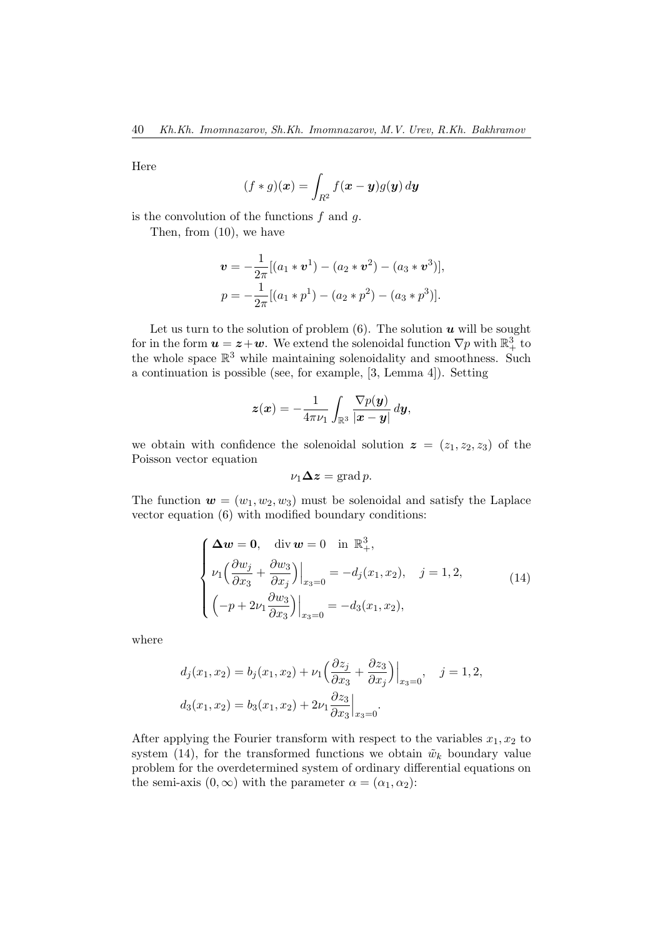Here

$$
(f * g)(\boldsymbol{x}) = \int_{R^2} f(\boldsymbol{x} - \boldsymbol{y}) g(\boldsymbol{y}) \, d\boldsymbol{y}
$$

is the convolution of the functions  $f$  and  $g$ .

Then, from (10), we have

$$
\mathbf{v} = -\frac{1}{2\pi}[(a_1 * \mathbf{v}^1) - (a_2 * \mathbf{v}^2) - (a_3 * \mathbf{v}^3)],
$$
  

$$
p = -\frac{1}{2\pi}[(a_1 * p^1) - (a_2 * p^2) - (a_3 * p^3)].
$$

Let us turn to the solution of problem  $(6)$ . The solution  $u$  will be sought for in the form  $u = z + w$ . We extend the solenoidal function  $\nabla p$  with  $\mathbb{R}^3_+$  to the whole space  $\mathbb{R}^3$  while maintaining solenoidality and smoothness. Such a continuation is possible (see, for example, [3, Lemma 4]). Setting

$$
\boldsymbol{z}(\boldsymbol{x}) = -\frac{1}{4\pi\nu_1} \int_{\mathbb{R}^3} \frac{\nabla p(\boldsymbol{y})}{|\boldsymbol{x}-\boldsymbol{y}|} \, d\boldsymbol{y},
$$

we obtain with confidence the solenoidal solution  $z = (z_1, z_2, z_3)$  of the Poisson vector equation

$$
\nu_1 \Delta z = \text{grad } p.
$$

The function  $\mathbf{w} = (w_1, w_2, w_3)$  must be solenoidal and satisfy the Laplace vector equation (6) with modified boundary conditions:

$$
\begin{cases}\n\Delta w = 0, & \text{div } w = 0 \text{ in } \mathbb{R}^3_+, \\
\nu_1 \left( \frac{\partial w_j}{\partial x_3} + \frac{\partial w_3}{\partial x_j} \right)\Big|_{x_3=0} = -d_j(x_1, x_2), & j = 1, 2, \\
\left( -p + 2\nu_1 \frac{\partial w_3}{\partial x_3} \right)\Big|_{x_3=0} = -d_3(x_1, x_2),\n\end{cases} (14)
$$

where

$$
d_j(x_1, x_2) = b_j(x_1, x_2) + \nu_1 \left( \frac{\partial z_j}{\partial x_3} + \frac{\partial z_3}{\partial x_j} \right) \Big|_{x_3 = 0}, \quad j = 1, 2,
$$
  

$$
d_3(x_1, x_2) = b_3(x_1, x_2) + 2\nu_1 \frac{\partial z_3}{\partial x_3} \Big|_{x_3 = 0}.
$$

After applying the Fourier transform with respect to the variables  $x_1, x_2$  to system (14), for the transformed functions we obtain  $\tilde{w}_k$  boundary value problem for the overdetermined system of ordinary differential equations on the semi-axis  $(0, \infty)$  with the parameter  $\alpha = (\alpha_1, \alpha_2)$ :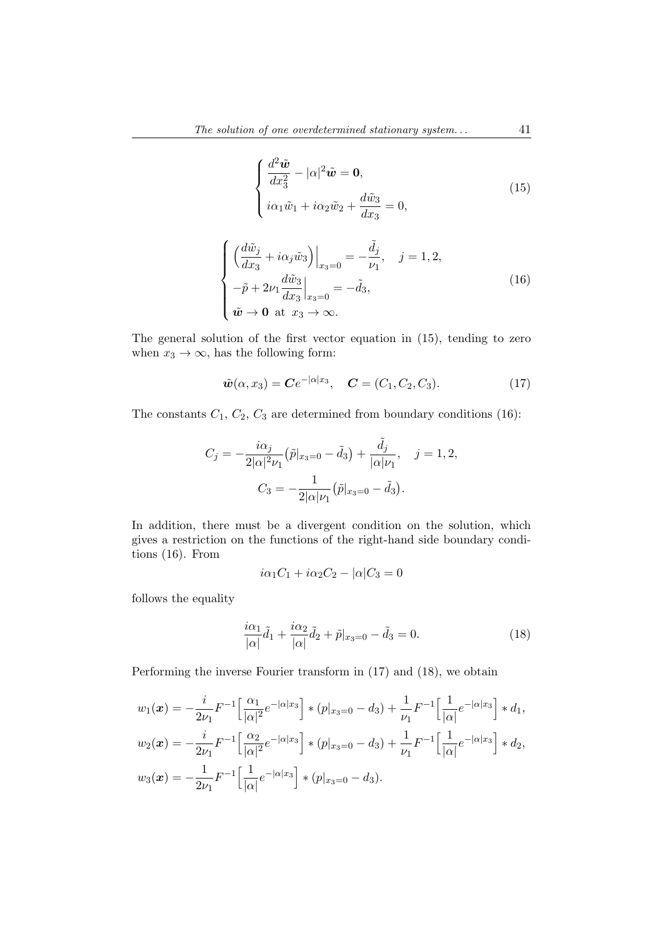$$
\begin{cases}\n\frac{d^2\tilde{\mathbf{w}}}{dx_3^2} - |\alpha|^2 \tilde{\mathbf{w}} = \mathbf{0}, \\
i\alpha_1 \tilde{w}_1 + i\alpha_2 \tilde{w}_2 + \frac{d\tilde{w}_3}{dx_3} = 0,\n\end{cases}
$$
\n(15)

$$
\begin{cases}\n\left(\frac{d\tilde{w}_j}{dx_3} + i\alpha_j \tilde{w}_3\right)\Big|_{x_3=0} = -\frac{\tilde{d}_j}{\nu_1}, \quad j = 1, 2, \\
-\tilde{p} + 2\nu_1 \frac{d\tilde{w}_3}{dx_3}\Big|_{x_3=0} = -\tilde{d}_3, \\
\tilde{w} \to 0 \text{ at } x_3 \to \infty.\n\end{cases} (16)
$$

The general solution of the first vector equation in (15), tending to zero when  $x_3 \to \infty$ , has the following form:

$$
\tilde{\boldsymbol{w}}(\alpha, x_3) = \boldsymbol{C} e^{-|\alpha| x_3}, \quad \boldsymbol{C} = (C_1, C_2, C_3).
$$
\n(17)

The constants  $C_1$ ,  $C_2$ ,  $C_3$  are determined from boundary conditions (16):

$$
C_j = -\frac{i\alpha_j}{2|\alpha|^2 \nu_1} (\tilde{p}|_{x_3=0} - \tilde{d}_3) + \frac{\tilde{d}_j}{|\alpha|\nu_1}, \quad j = 1, 2,
$$

$$
C_3 = -\frac{1}{2|\alpha|\nu_1} (\tilde{p}|_{x_3=0} - \tilde{d}_3).
$$

In addition, there must be a divergent condition on the solution, which gives a restriction on the functions of the right-hand side boundary conditions (16). From

$$
i\alpha_1 C_1 + i\alpha_2 C_2 - |\alpha| C_3 = 0
$$

follows the equality

$$
\frac{i\alpha_1}{|\alpha|}\tilde{d}_1 + \frac{i\alpha_2}{|\alpha|}\tilde{d}_2 + \tilde{p}|_{x_3=0} - \tilde{d}_3 = 0.
$$
 (18)

Performing the inverse Fourier transform in (17) and (18), we obtain

$$
w_1(\boldsymbol{x}) = -\frac{i}{2\nu_1} F^{-1} \Big[ \frac{\alpha_1}{|\alpha|^2} e^{-|\alpha|x_3|} \Big] * (p|_{x_3=0} - d_3) + \frac{1}{\nu_1} F^{-1} \Big[ \frac{1}{|\alpha|} e^{-|\alpha|x_3|} \Big] * d_1,
$$
  
\n
$$
w_2(\boldsymbol{x}) = -\frac{i}{2\nu_1} F^{-1} \Big[ \frac{\alpha_2}{|\alpha|^2} e^{-|\alpha|x_3|} \Big] * (p|_{x_3=0} - d_3) + \frac{1}{\nu_1} F^{-1} \Big[ \frac{1}{|\alpha|} e^{-|\alpha|x_3|} \Big] * d_2,
$$
  
\n
$$
w_3(\boldsymbol{x}) = -\frac{1}{2\nu_1} F^{-1} \Big[ \frac{1}{|\alpha|} e^{-|\alpha|x_3|} \Big] * (p|_{x_3=0} - d_3).
$$